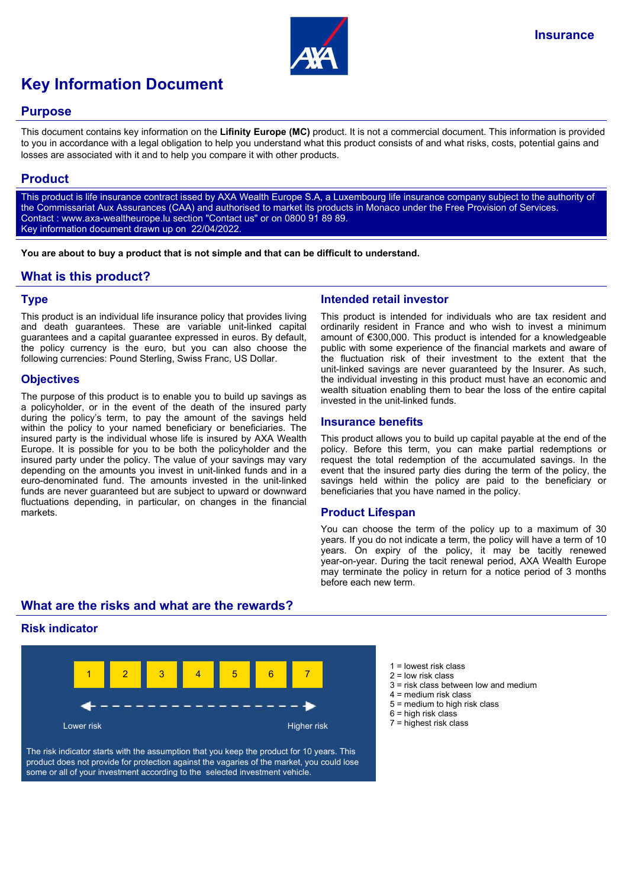

# **Key Information Document**

#### **Purpose**

This document contains key information on the **Lifinity Europe (MC)** product. It is not a commercial document. This information is provided to you in accordance with a legal obligation to help you understand what this product consists of and what risks, costs, potential gains and losses are associated with it and to help you compare it with other products.

## **Product**

This product is life insurance contract issed by AXA Wealth Europe S.A, a Luxembourg life insurance company subject to the authority of the Commissariat Aux Assurances (CAA) and authorised to market its products in Monaco under the Free Provision of Services. Contact : www.axa-wealtheurope.lu section "Contact us" or on 0800 91 89 89. Key information document drawn up on 22/04/2022.

**You are about to buy a product that is not simple and that can be difficult to understand.**

## **What is this product?**

#### **Type**

This product is an individual life insurance policy that provides living and death guarantees. These are variable unit-linked capital guarantees and a capital guarantee expressed in euros. By default, the policy currency is the euro, but you can also choose the following currencies: Pound Sterling, Swiss Franc, US Dollar.

#### **Objectives**

The purpose of this product is to enable you to build up savings as a policyholder, or in the event of the death of the insured party during the policy's term, to pay the amount of the savings held within the policy to your named beneficiary or beneficiaries. The insured party is the individual whose life is insured by AXA Wealth Europe. It is possible for you to be both the policyholder and the insured party under the policy. The value of your savings may vary depending on the amounts you invest in unit-linked funds and in a euro-denominated fund. The amounts invested in the unit-linked funds are never guaranteed but are subject to upward or downward fluctuations depending, in particular, on changes in the financial markets.

## **Intended retail investor**

This product is intended for individuals who are tax resident and ordinarily resident in France and who wish to invest a minimum amount of €300,000. This product is intended for a knowledgeable public with some experience of the financial markets and aware of the fluctuation risk of their investment to the extent that the unit-linked savings are never guaranteed by the Insurer. As such, the individual investing in this product must have an economic and wealth situation enabling them to bear the loss of the entire capital invested in the unit-linked funds.

#### **Insurance benefits**

This product allows you to build up capital payable at the end of the policy. Before this term, you can make partial redemptions or request the total redemption of the accumulated savings. In the event that the insured party dies during the term of the policy, the savings held within the policy are paid to the beneficiary or beneficiaries that you have named in the policy.

#### **Product Lifespan**

You can choose the term of the policy up to a maximum of 30 years. If you do not indicate a term, the policy will have a term of 10 years. On expiry of the policy, it may be tacitly renewed year-on-year. During the tacit renewal period, AXA Wealth Europe may terminate the policy in return for a notice period of 3 months before each new term.

## **What are the risks and what are the rewards?**

#### **Risk indicator**



The risk indicator starts with the assumption that you keep the product for 10 years. This product does not provide for protection against the vagaries of the market, you could lose some or all of your investment according to the selected investment vehicle.

- $1 =$  lowest risk class
- 2 = low risk class
- $3$  = risk class between low and medium
- 4 = medium risk class
- 5 = medium to high risk class
- $6$  = high risk class
- 7 = highest risk class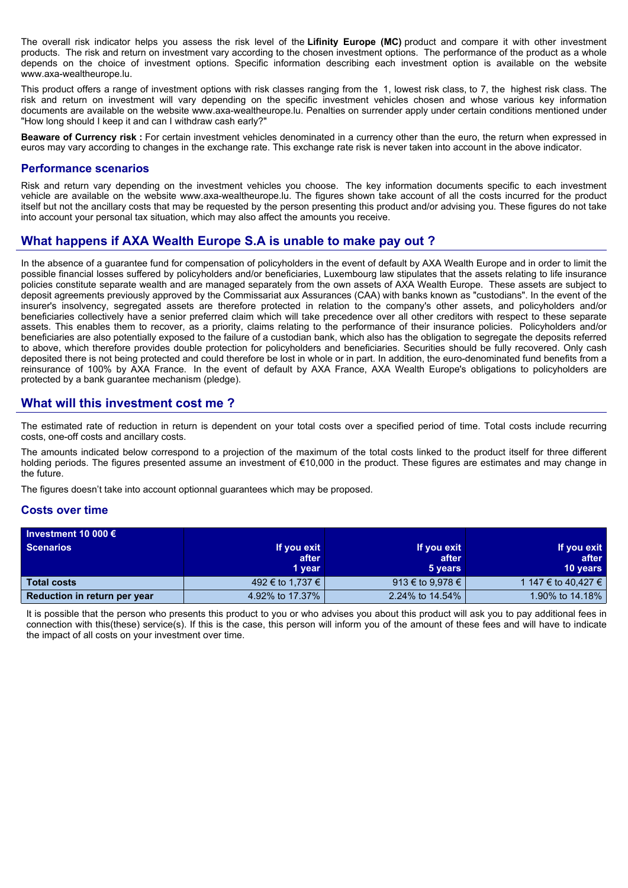The overall risk indicator helps you assess the risk level of the **Lifinity Europe (MC)** product and compare it with other investment products. The risk and return on investment vary according to the chosen investment options. The performance of the product as a whole depends on the choice of investment options. Specific information describing each investment option is available on the website www.axa-wealtheurope.lu.

This product offers a range of investment options with risk classes ranging from the 1, lowest risk class, to 7, the highest risk class. The risk and return on investment will vary depending on the specific investment vehicles chosen and whose various key information documents are available on the website www.axa-wealtheurope.lu. Penalties on surrender apply under certain conditions mentioned under "How long should I keep it and can I withdraw cash early?"

**Beaware of Currency risk :** For certain investment vehicles denominated in a currency other than the euro, the return when expressed in euros may vary according to changes in the exchange rate. This exchange rate risk is never taken into account in the above indicator.

#### **Performance scenarios**

Risk and return vary depending on the investment vehicles you choose. The key information documents specific to each investment vehicle are available on the website www.axa-wealtheurope.lu. The figures shown take account of all the costs incurred for the product itself but not the ancillary costs that may be requested by the person presenting this product and/or advising you. These figures do not take into account your personal tax situation, which may also affect the amounts you receive.

## **What happens if AXA Wealth Europe S.A is unable to make pay out ?**

In the absence of a guarantee fund for compensation of policyholders in the event of default by AXA Wealth Europe and in order to limit the possible financial losses suffered by policyholders and/or beneficiaries, Luxembourg law stipulates that the assets relating to life insurance policies constitute separate wealth and are managed separately from the own assets of AXA Wealth Europe. These assets are subject to deposit agreements previously approved by the Commissariat aux Assurances (CAA) with banks known as "custodians". In the event of the insurer's insolvency, segregated assets are therefore protected in relation to the company's other assets, and policyholders and/or beneficiaries collectively have a senior preferred claim which will take precedence over all other creditors with respect to these separate assets. This enables them to recover, as a priority, claims relating to the performance of their insurance policies. Policyholders and/or beneficiaries are also potentially exposed to the failure of a custodian bank, which also has the obligation to segregate the deposits referred to above, which therefore provides double protection for policyholders and beneficiaries. Securities should be fully recovered. Only cash deposited there is not being protected and could therefore be lost in whole or in part. In addition, the euro-denominated fund benefits from a reinsurance of 100% by AXA France. In the event of default by AXA France, AXA Wealth Europe's obligations to policyholders are protected by a bank guarantee mechanism (pledge).

## **What will this investment cost me ?**

The estimated rate of reduction in return is dependent on your total costs over a specified period of time. Total costs include recurring costs, one-off costs and ancillary costs.

The amounts indicated below correspond to a projection of the maximum of the total costs linked to the product itself for three different holding periods. The figures presented assume an investment of €10,000 in the product. These figures are estimates and may change in the future.

The figures doesn't take into account optionnal guarantees which may be proposed.

#### **Costs over time**

| Investment 10 000 $\epsilon$ |                  |                  |                     |
|------------------------------|------------------|------------------|---------------------|
| <b>Scenarios</b>             | If you exit      | If you exit      | If you exit         |
|                              | after            | after            | after               |
|                              | 1 year           | 5 years          | <b>10 years</b>     |
| <b>Total costs</b>           | 492 € to 1,737 € | 913 € to 9,978 € | 1 147 € to 40.427 € |
| Reduction in return per year | 4.92% to 17.37%  | 2.24% to 14.54%  | 1.90% to 14.18%     |

It is possible that the person who presents this product to you or who advises you about this product will ask you to pay additional fees in connection with this(these) service(s). If this is the case, this person will inform you of the amount of these fees and will have to indicate the impact of all costs on your investment over time.